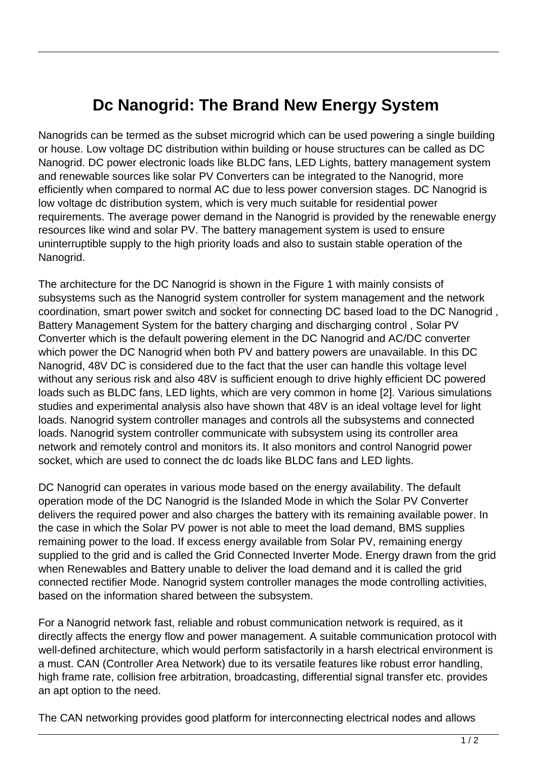## **Dc Nanogrid: The Brand New Energy System**

Nanogrids can be termed as the subset microgrid which can be used powering a single building or house. Low voltage DC distribution within building or house structures can be called as DC Nanogrid. DC power electronic loads like BLDC fans, LED Lights, battery management system and renewable sources like solar PV Converters can be integrated to the Nanogrid, more efficiently when compared to normal AC due to less power conversion stages. DC Nanogrid is low voltage dc distribution system, which is very much suitable for residential power requirements. The average power demand in the Nanogrid is provided by the renewable energy resources like wind and solar PV. The battery management system is used to ensure uninterruptible supply to the high priority loads and also to sustain stable operation of the Nanogrid.

The architecture for the DC Nanogrid is shown in the Figure 1 with mainly consists of subsystems such as the Nanogrid system controller for system management and the network coordination, smart power switch and socket for connecting DC based load to the DC Nanogrid , Battery Management System for the battery charging and discharging control , Solar PV Converter which is the default powering element in the DC Nanogrid and AC/DC converter which power the DC Nanogrid when both PV and battery powers are unavailable. In this DC Nanogrid, 48V DC is considered due to the fact that the user can handle this voltage level without any serious risk and also 48V is sufficient enough to drive highly efficient DC powered loads such as BLDC fans, LED lights, which are very common in home [2]. Various simulations studies and experimental analysis also have shown that 48V is an ideal voltage level for light loads. Nanogrid system controller manages and controls all the subsystems and connected loads. Nanogrid system controller communicate with subsystem using its controller area network and remotely control and monitors its. It also monitors and control Nanogrid power socket, which are used to connect the dc loads like BLDC fans and LED lights. on, smart power switch and socker<br>anagement System for the battery<br>which is the default powering eler<br>er the DC Nanogrid when both P\<br>48V DC is considered due to the f<br>y serious risk and also 48V is suffi<br>as BLDC fans, LED

DC Nanogrid can operates in various mode based on the energy availability. The default operation mode of the DC Nanogrid is the Islanded Mode in which the Solar PV Converter delivers the required power and also charges the battery with its remaining available power. In the case in which the Solar PV power is not able to meet the load demand, BMS supplies remaining power to the load. If excess energy available from Solar PV, remaining energy supplied to the grid and is called the Grid Connected Inverter Mode. Energy drawn from the grid when Renewables and Battery unable to deliver the load demand and it is called the grid connected rectifier Mode. Nanogrid system controller manages the mode controlling activities, based on the information shared between the subsystem.

For a Nanogrid network fast, reliable and robust communication network is required, as it directly affects the energy flow and power management. A suitable communication protocol with well-defined architecture, which would perform satisfactorily in a harsh electrical environment is a must. CAN (Controller Area Network) due to its versatile features like robust error handling, high frame rate, collision free arbitration, broadcasting, differential signal transfer etc. provides an apt option to the need.

The CAN networking provides good platform for interconnecting electrical nodes and allows